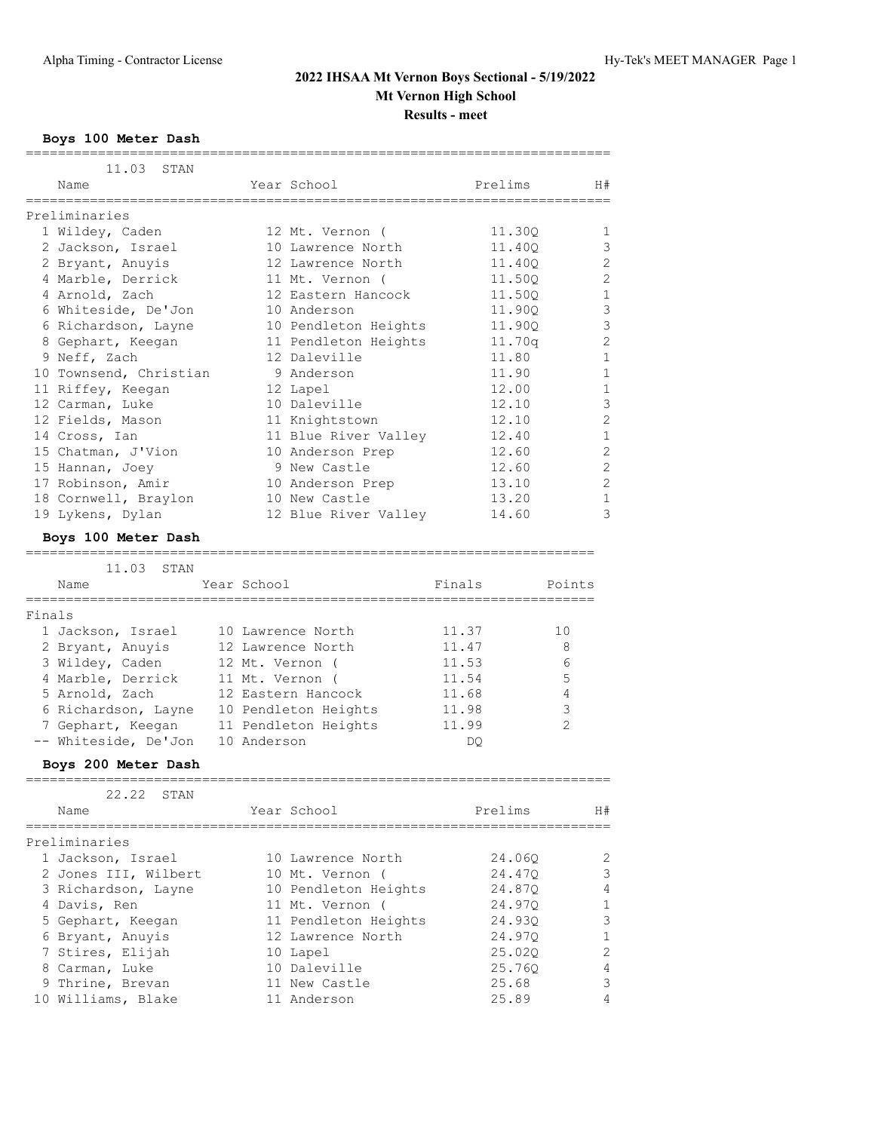**Boys 100 Meter Dash**

|        | 11.03<br>STAN                            |                                              |         |        |                |
|--------|------------------------------------------|----------------------------------------------|---------|--------|----------------|
|        | Name                                     | Year School                                  | Prelims |        | H#             |
|        |                                          |                                              |         |        |                |
|        | Preliminaries                            |                                              |         |        |                |
|        | 1 Wildey, Caden                          | 12 Mt. Vernon (                              | 11.30Q  |        | 1<br>3         |
|        | 2 Jackson, Israel                        | 10 Lawrence North                            | 11.400  |        | 2              |
|        | 2 Bryant, Anuyis                         | 12 Lawrence North                            | 11.40Q  |        | 2              |
|        | 4 Marble, Derrick                        | 11 Mt. Vernon (                              | 11.50Q  |        |                |
|        | 4 Arnold, Zach                           | 12 Eastern Hancock                           | 11.50Q  |        | 1              |
|        | 6 Whiteside, De'Jon                      | 10 Anderson                                  | 11.900  |        | 3              |
|        | 6 Richardson, Layne                      | 10 Pendleton Heights                         | 11.90Q  |        | 3              |
|        | 8 Gephart, Keegan                        | 11 Pendleton Heights                         | 11.70q  |        | $\overline{2}$ |
|        | 9 Neff, Zach                             | 12 Daleville                                 | 11.80   |        | 1              |
|        | 10 Townsend, Christian                   | 9 Anderson                                   | 11.90   |        | 1              |
|        | 11 Riffey, Keegan                        | 12 Lapel                                     | 12.00   |        | 1              |
|        | 12 Carman, Luke                          | 10 Daleville                                 | 12.10   |        | 3              |
|        | 12 Fields, Mason                         | 11 Knightstown                               | 12.10   |        | $\overline{2}$ |
|        | 14 Cross, Ian                            | 11 Blue River Valley                         | 12.40   |        | 1              |
|        | 15 Chatman, J'Vion                       | 10 Anderson Prep                             | 12.60   |        | 2              |
|        | 15 Hannan, Joey                          | 9 New Castle                                 | 12.60   |        | 2              |
|        | 17 Robinson, Amir                        | 10 Anderson Prep                             | 13.10   |        | $\overline{2}$ |
|        | 18 Cornwell, Braylon                     | 10 New Castle                                | 13.20   |        | $\mathbf{1}$   |
|        | 19 Lykens, Dylan                         | 12 Blue River Valley                         | 14.60   |        | 3              |
|        | Boys 100 Meter Dash                      |                                              |         |        |                |
|        |                                          |                                              |         |        |                |
|        | 11.03<br>STAN                            |                                              |         |        |                |
|        | Name<br>==============                   | Year School                                  | Finals  | Points |                |
| Finals |                                          |                                              |         |        |                |
|        | 1 Jackson, Israel                        | 10 Lawrence North                            | 11.37   | 10     |                |
|        |                                          | 12 Lawrence North                            | 11.47   | 8      |                |
|        | 2 Bryant, Anuyis<br>3 Wildey, Caden      | 12 Mt. Vernon (                              | 11.53   | 6      |                |
|        | 4 Marble, Derrick                        | 11 Mt. Vernon (                              | 11.54   | 5      |                |
|        | 5 Arnold, Zach                           | 12 Eastern Hancock                           | 11.68   | 4      |                |
|        |                                          |                                              | 11.98   | 3      |                |
|        | 6 Richardson, Layne<br>7 Gephart, Keegan | 10 Pendleton Heights<br>11 Pendleton Heights |         | 2      |                |
|        |                                          |                                              | 11.99   |        |                |
|        | -- Whiteside, De'Jon                     | 10 Anderson                                  | DQ.     |        |                |
|        | Boys 200 Meter Dash                      |                                              |         |        |                |
|        | 22.22<br>STAN                            |                                              |         |        |                |
|        | Name                                     | Year School                                  | Prelims |        | H#             |
|        | Preliminaries                            |                                              |         |        |                |
|        | 1 Jackson, Israel                        | 10 Lawrence North                            | 24.060  |        | 2              |
|        | 2 Jones III, Wilbert                     | 10 Mt. Vernon (                              | 24.47Q  |        | 3              |
|        | 3 Richardson, Layne                      | 10 Pendleton Heights                         | 24.87Q  |        | 4              |
|        | 4 Davis, Ren                             | 11 Mt. Vernon (                              | 24.97Q  |        | 1              |
|        | 5 Gephart, Keegan                        | 11 Pendleton Heights                         | 24.93Q  |        | 3              |
|        | 6 Bryant, Anuyis                         | 12 Lawrence North                            | 24.97Q  |        | 1              |
|        | 7 Stires, Elijah                         | 10 Lapel                                     | 25.02Q  |        | $\mathbf{2}$   |
|        | 8 Carman, Luke                           | 10 Daleville                                 | 25.76Q  |        | 4              |
|        | 9 Thrine, Brevan                         | 11 New Castle                                | 25.68   |        | 3              |
|        |                                          |                                              |         |        |                |
|        | 10 Williams, Blake                       | 11 Anderson                                  | 25.89   |        | 4              |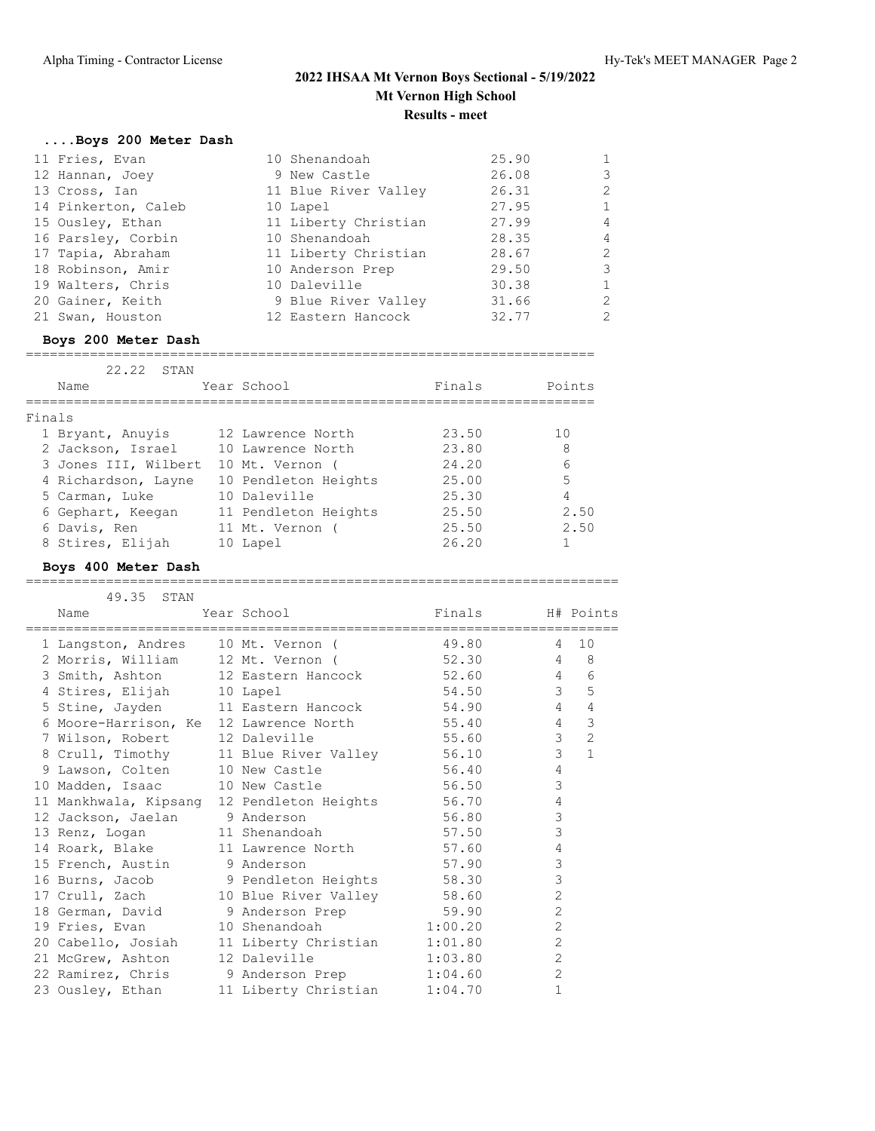# **....Boys 200 Meter Dash**

| 11 Fries, Evan      | 10 Shenandoah        | 25.90 | $\mathbf{1}$   |
|---------------------|----------------------|-------|----------------|
| 12 Hannan, Joey     | 9 New Castle         | 26.08 | 3              |
| 13 Cross, Ian       | 11 Blue River Valley | 26.31 | 2              |
| 14 Pinkerton, Caleb | 10 Lapel             | 27.95 | $\mathbf{1}$   |
| 15 Ousley, Ethan    | 11 Liberty Christian | 27.99 | $\overline{4}$ |
| 16 Parsley, Corbin  | 10 Shenandoah        | 28.35 | $\overline{4}$ |
| 17 Tapia, Abraham   | 11 Liberty Christian | 28.67 | 2              |
| 18 Robinson, Amir   | 10 Anderson Prep     | 29.50 | 3              |
| 19 Walters, Chris   | 10 Daleville         | 30.38 | $\mathbf{1}$   |
| 20 Gainer, Keith    | 9 Blue River Valley  | 31.66 | 2              |
| 21 Swan, Houston    | 12 Eastern Hancock   | 32.77 | 2              |
|                     |                      |       |                |

#### **Boys 200 Meter Dash**

| 22.22<br>STAN        |                      |        |        |
|----------------------|----------------------|--------|--------|
| Name                 | Year School          | Finals | Points |
|                      |                      |        |        |
| Finals               |                      |        |        |
| 1 Bryant, Anuyis     | 12 Lawrence North    | 23.50  | 10     |
| 2 Jackson, Israel    | 10 Lawrence North    | 23.80  | 8      |
| 3 Jones III, Wilbert | 10 Mt. Vernon (      | 24.20  | 6      |
| 4 Richardson, Layne  | 10 Pendleton Heights | 25.00  | 5      |
| 5 Carman, Luke       | 10 Daleville         | 25.30  | 4      |
| 6 Gephart, Keegan    | 11 Pendleton Heights | 25.50  | 2.50   |
| 6 Davis, Ren         | 11 Mt. Vernon        | 25.50  | 2.50   |
| 8 Stires, Elijah     | 10 Lapel             | 26.20  |        |

=======================================================================

### **Boys 400 Meter Dash**

#### ==========================================================================

| 49.35 STAN                         |                                                                                     |                  |                 |                     |
|------------------------------------|-------------------------------------------------------------------------------------|------------------|-----------------|---------------------|
| Name                               | Year School and the School and the School                                           | Finals H# Points |                 |                     |
| 1 Langston, Andres 10 Mt. Vernon ( |                                                                                     | 49.80            | $\overline{4}$  | 10                  |
|                                    | 2 Morris, William 12 Mt. Vernon (32.30 4 8                                          |                  |                 |                     |
|                                    | 3 Smith, Ashton 12 Eastern Hancock 52.60 4                                          |                  |                 | 6                   |
| 4 Stires, Elijah 10 Lapel          |                                                                                     | 54.50            |                 | 3 <sup>7</sup><br>5 |
|                                    | 5 Stine, Jayden 11 Eastern Hancock 54.90 4                                          |                  |                 | $\overline{4}$      |
|                                    | 6 Moore-Harrison, Ke 12 Lawrence North 55.40                                        |                  | $4\overline{ }$ | $\mathcal{S}$       |
| 7 Wilson, Robert 12 Daleville      |                                                                                     | 55.60            | $\mathcal{S}$   | $\overline{c}$      |
|                                    | 8 Crull, Timothy 11 Blue River Valley 56.10<br>9 Lawson, Colten 10 New Castle 56.40 |                  | $\mathfrak{Z}$  | $\mathbf{1}$        |
|                                    |                                                                                     |                  | $\overline{4}$  |                     |
| 10 Madden, Isaac 10 New Castle     |                                                                                     | 56.50            | 3               |                     |
|                                    | 11 Mankhwala, Kipsang 12 Pendleton Heights 56.70                                    |                  | 4               |                     |
| 12 Jackson, Jaelan 9 Anderson      |                                                                                     | 56.80            | 3               |                     |
| 13 Renz, Logan 11 Shenandoah       |                                                                                     | 57.50            | 3               |                     |
|                                    | 14 Roark, Blake 11 Lawrence North 57.60                                             |                  | $\overline{4}$  |                     |
| 15 French, Austin 9 Anderson       |                                                                                     | 57.90            | 3               |                     |
|                                    | 16 Burns, Jacob 9 Pendleton Heights 58.30                                           |                  | 3               |                     |
|                                    |                                                                                     |                  | $\overline{2}$  |                     |
|                                    | 17 Crull, Zach 10 Blue River Valley 58.60<br>18 German, David 9 Anderson Prep 59.90 |                  | $\overline{2}$  |                     |
| 19 Fries, Evan                     | 10 Shenandoah 1:00.20                                                               |                  | $\overline{2}$  |                     |
|                                    | 20 Cabello, Josiah 11 Liberty Christian 1:01.80                                     |                  | $\overline{2}$  |                     |
| 21 McGrew, Ashton                  | 12 Daleville 1:03.80                                                                |                  | $\overline{c}$  |                     |
|                                    | 22 Ramirez, Chris 9 Anderson Prep 1:04.60                                           |                  | $\overline{c}$  |                     |
| 23 Ousley, Ethan                   | 11 Liberty Christian 1:04.70                                                        |                  | $\mathbf{1}$    |                     |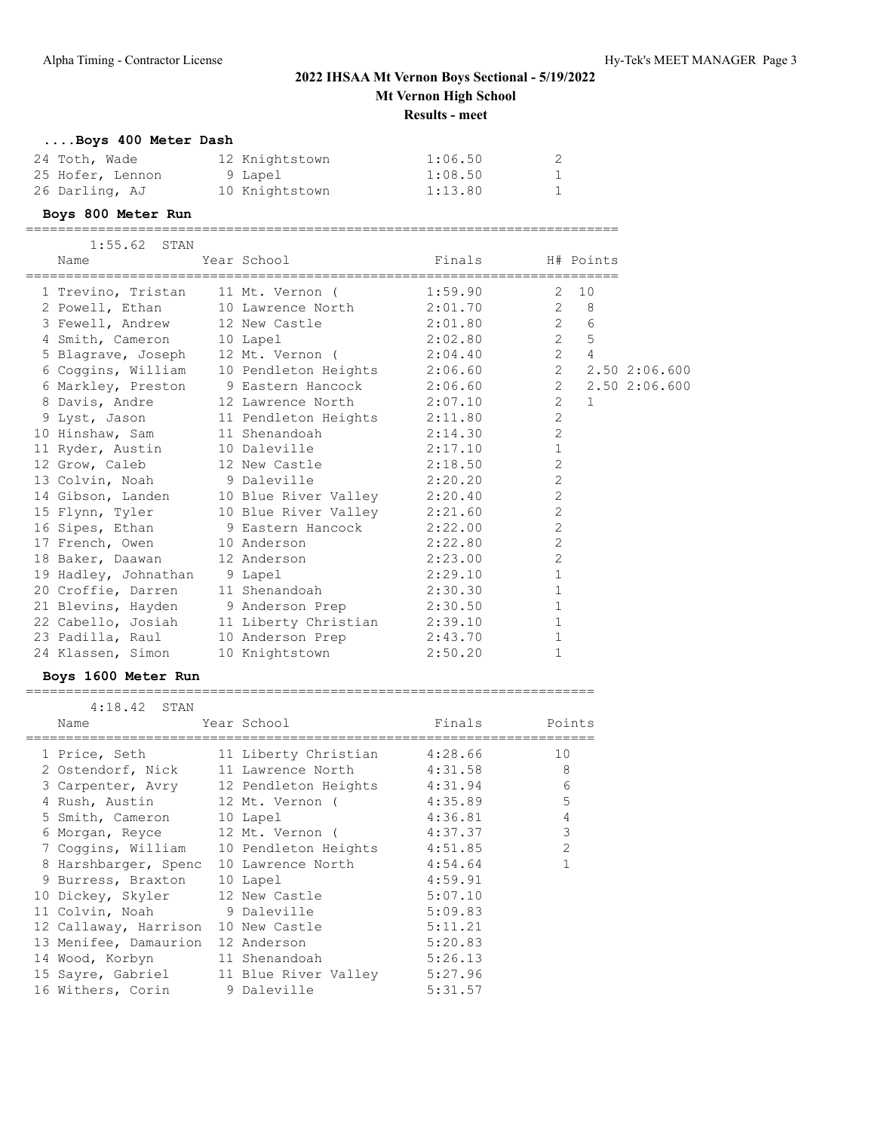# **....Boys 400 Meter Dash**

| 24 Toth, Wade    | 12 Knightstown | 1:06.50 | 2 |
|------------------|----------------|---------|---|
| 25 Hofer, Lennon | 9 Lapel        | 1:08.50 | 1 |
| 26 Darling, AJ   | 10 Knightstown | 1:13.80 | 1 |

#### **Boys 800 Meter Run**

==========================================================================

| $1:55.62$ STAN               |                                                 |                    |                |                     |                 |
|------------------------------|-------------------------------------------------|--------------------|----------------|---------------------|-----------------|
| Name                         | Year School States School                       | Finals 5 H# Points |                |                     |                 |
|                              | 1 Trevino, Tristan 11 Mt. Vernon (1:59.90       |                    |                | $2 \t10$            |                 |
|                              | 2 Powell, Ethan 10 Lawrence North 2:01.70       |                    |                | $2 \quad 8$         |                 |
|                              | 3 Fewell, Andrew 12 New Castle 2:01.80          |                    |                | $6\,$<br>$2^{\sim}$ |                 |
| 4 Smith, Cameron 10 Lapel    |                                                 | 2:02.80            | $2^{\circ}$    | 5                   |                 |
|                              | 5 Blagrave, Joseph 12 Mt. Vernon (2:04.40       |                    | $2^{\circ}$    | $\overline{4}$      |                 |
|                              | 6 Coggins, William 10 Pendleton Heights 2:06.60 |                    |                |                     | 2 2.50 2:06.600 |
|                              | 6 Markley, Preston 9 Eastern Hancock 2:06.60    |                    |                |                     | 2 2.50 2:06.600 |
|                              |                                                 |                    | $\overline{2}$ | $\overline{1}$      |                 |
|                              | 9 Lyst, Jason 11 Pendleton Heights 2:11.80      |                    | $\overline{c}$ |                     |                 |
|                              | 10 Hinshaw, Sam 11 Shenandoah 2:14.30           |                    | $\overline{c}$ |                     |                 |
|                              | 11 Ryder, Austin 10 Daleville 2:17.10           |                    | $\mathbf{1}$   |                     |                 |
|                              | 12 Grow, Caleb 12 New Castle 2:18.50            |                    | $\overline{2}$ |                     |                 |
|                              | 13 Colvin, Noah 9 Daleville 2:20.20             |                    | $\overline{c}$ |                     |                 |
|                              | 14 Gibson, Landen 10 Blue River Valley 2:20.40  |                    | $\overline{2}$ |                     |                 |
|                              | 15 Flynn, Tyler 10 Blue River Valley 2:21.60    |                    | $\overline{2}$ |                     |                 |
|                              | 16 Sipes, Ethan 9 Eastern Hancock 2:22.00       |                    | $\overline{c}$ |                     |                 |
|                              | 17 French, Owen 10 Anderson 2:22.80             |                    | $\overline{2}$ |                     |                 |
|                              | 18 Baker, Daawan 12 Anderson 2:23.00            |                    | $\overline{2}$ |                     |                 |
| 19 Hadley, Johnathan 9 Lapel |                                                 | 2:29.10            | $1\,$          |                     |                 |
|                              | 20 Croffie, Darren 11 Shenandoah 2:30.30        |                    | $\mathbf{1}$   |                     |                 |
|                              | 21 Blevins, Hayden 9 Anderson Prep 2:30.50      |                    | $\mathbf{1}$   |                     |                 |
|                              | 22 Cabello, Josiah 11 Liberty Christian 2:39.10 |                    | $1\,$          |                     |                 |
|                              | 23 Padilla, Raul 10 Anderson Prep 2:43.70       |                    | $1\,$          |                     |                 |
| 24 Klassen, Simon            | 10 Knightstown                                  | 2:50.20            | $\mathbf 1$    |                     |                 |

#### **Boys 1600 Meter Run**

| $4:18.42$ STAN                             |             |         |                |
|--------------------------------------------|-------------|---------|----------------|
| Name                                       | Year School | Finals  | Points         |
| 1 Price, Seth 11 Liberty Christian         |             | 4:28.66 | 10             |
| 2 Ostendorf, Nick 11 Lawrence North        |             | 4:31.58 | 8              |
| 3 Carpenter, Avry 12 Pendleton Heights     |             | 4:31.94 | 6              |
| 4 Rush, Austin 12 Mt. Vernon (             |             | 4:35.89 | 5              |
| 5 Smith, Cameron 10 Lapel                  |             | 4:36.81 | $\overline{4}$ |
| 6 Morgan, Reyce 12 Mt. Vernon (            |             | 4:37.37 | 3              |
| 7 Coqqins, William    10 Pendleton Heights |             | 4:51.85 | $\overline{2}$ |
| 8 Harshbarger, Spenc 10 Lawrence North     |             | 4:54.64 |                |
| 9 Burress, Braxton 10 Lapel                |             | 4:59.91 |                |
| 10 Dickey, Skyler 12 New Castle            |             | 5:07.10 |                |
| 11 Colvin, Noah 9 Daleville                |             | 5:09.83 |                |
| 12 Callaway, Harrison 10 New Castle        |             | 5:11.21 |                |
| 13 Menifee, Damaurion 12 Anderson          |             | 5:20.83 |                |
| 14 Wood, Korbyn 11 Shenandoah              |             | 5:26.13 |                |
| 15 Sayre, Gabriel 11 Blue River Valley     |             | 5:27.96 |                |
| 16 Withers, Corin 9 Daleville              |             | 5:31.57 |                |

=======================================================================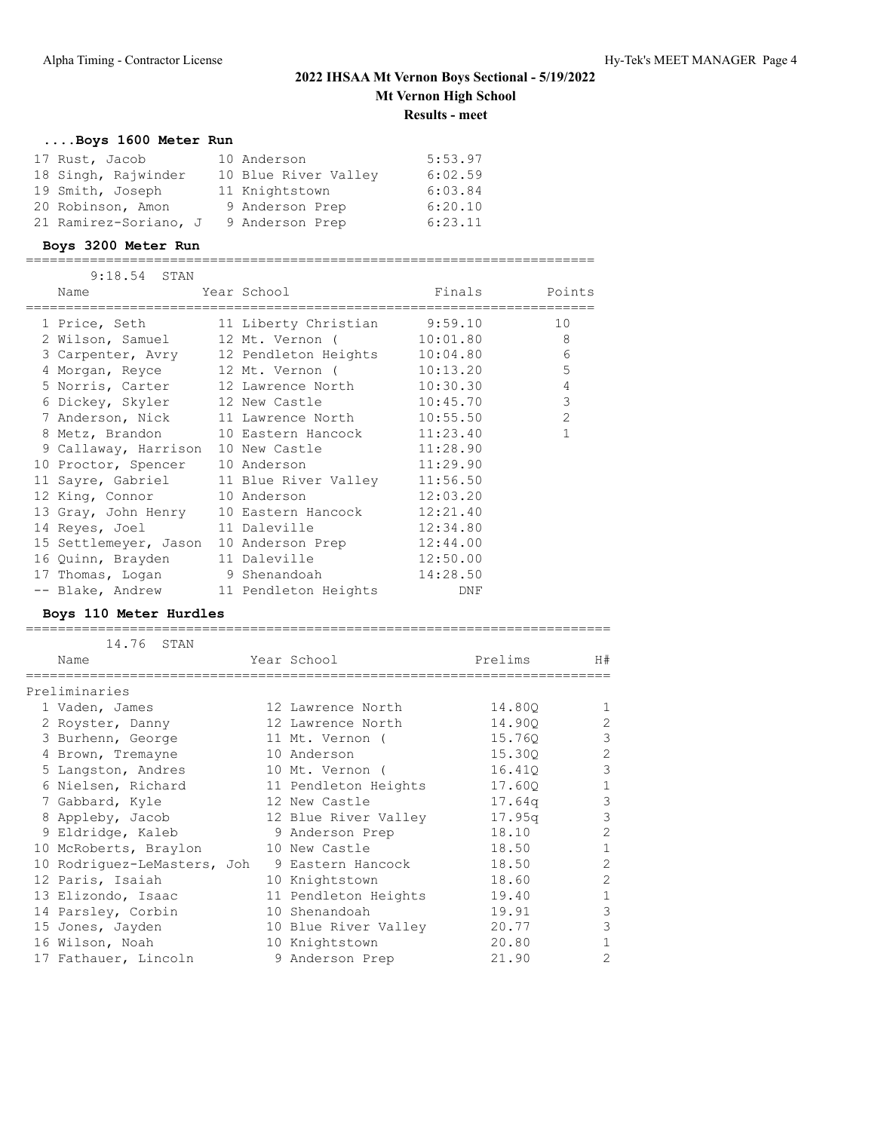# **....Boys 1600 Meter Run**

| 17 Rust, Jacob        | 10 Anderson          | 5:53.97 |
|-----------------------|----------------------|---------|
| 18 Singh, Rajwinder   | 10 Blue River Valley | 6:02.59 |
| 19 Smith, Joseph      | 11 Knightstown       | 6:03.84 |
| 20 Robinson, Amon     | 9 Anderson Prep      | 6:20.10 |
| 21 Ramirez-Soriano, J | 9 Anderson Prep      | 6:23.11 |

#### **Boys 3200 Meter Run**

=======================================================================

| $9:18.54$ STAN                                  |                            |          |                |
|-------------------------------------------------|----------------------------|----------|----------------|
| Name                                            | Year School and the School |          | Finals Points  |
| 1 Price, Seth 11 Liberty Christian 9:59.10      |                            |          | 10             |
| 2 Wilson, Samuel 12 Mt. Vernon (10:01.80        |                            |          | 8              |
| 3 Carpenter, Avry 12 Pendleton Heights 10:04.80 |                            |          | 6              |
| 4 Morgan, Reyce 12 Mt. Vernon (10:13.20         |                            |          | 5              |
| 5 Norris, Carter 12 Lawrence North 10:30.30     |                            |          | $\overline{4}$ |
| 6 Dickey, Skyler 12 New Castle 10:45.70         |                            |          | 3              |
| 7 Anderson, Nick 11 Lawrence North 10:55.50     |                            |          | $\overline{2}$ |
| 8 Metz, Brandon 10 Eastern Hancock 11:23.40     |                            |          | $\mathbf{1}$   |
| 9 Callaway, Harrison 10 New Castle 11:28.90     |                            |          |                |
| 10 Proctor, Spencer 10 Anderson                 |                            | 11:29.90 |                |
| 11 Sayre, Gabriel 11 Blue River Valley 11:56.50 |                            |          |                |
| 12 King, Connor 10 Anderson                     |                            | 12:03.20 |                |
| 13 Gray, John Henry 10 Eastern Hancock 12:21.40 |                            |          |                |
| 14 Reyes, Joel 11 Daleville 12:34.80            |                            |          |                |
| 15 Settlemeyer, Jason 10 Anderson Prep 12:44.00 |                            |          |                |
| 16 Quinn, Brayden 11 Daleville 12:50.00         |                            |          |                |
| 17 Thomas, Logan 9 Shenandoah                   |                            | 14:28.50 |                |
| -- Blake, Andrew 11 Pendleton Heights           |                            | DNF      |                |

#### **Boys 110 Meter Hurdles**

| 14.76 STAN<br>Name          | Year School          | Prelims            | H#             |
|-----------------------------|----------------------|--------------------|----------------|
| Preliminaries               |                      |                    |                |
| 1 Vaden, James              | 12 Lawrence North    | 14.800             |                |
| 2 Royster, Danny            | 12 Lawrence North    | 14.900             | $\mathfrak{D}$ |
| 3 Burhenn, George           | 11 Mt. Vernon (      | 15.760             | 3              |
| 4 Brown, Tremayne           | 10 Anderson          | 15.300             | $\overline{2}$ |
| 5 Langston, Andres          | 10 Mt. Vernon (      | 16.410             | 3              |
| 6 Nielsen, Richard          | 11 Pendleton Heights | 17.600             |                |
| 7 Gabbard, Kyle             | 12 New Castle        | 17.64 <sub>q</sub> | 3              |
| 8 Appleby, Jacob            | 12 Blue River Valley | 17.95q             | 3              |
| 9 Eldridge, Kaleb           | 9 Anderson Prep      | 18.10              | $\overline{2}$ |
| 10 McRoberts, Braylon       | 10 New Castle        | 18.50              | 1              |
| 10 Rodriquez-LeMasters, Joh | 9 Eastern Hancock    | 18.50              | $\mathfrak{D}$ |
| 12 Paris, Isaiah            | 10 Knightstown       | 18.60              | $\overline{2}$ |
| 13 Elizondo, Isaac          | 11 Pendleton Heights | 19.40              | 1              |
| 14 Parsley, Corbin          | 10 Shenandoah        | 19.91              | 3              |
| 15 Jones, Jayden            | 10 Blue River Valley | 20.77              | 3              |
| 16 Wilson, Noah             | 10 Knightstown       | 20.80              |                |
| 17 Fathauer, Lincoln        | 9 Anderson Prep      | 21.90              | $\mathfrak{D}$ |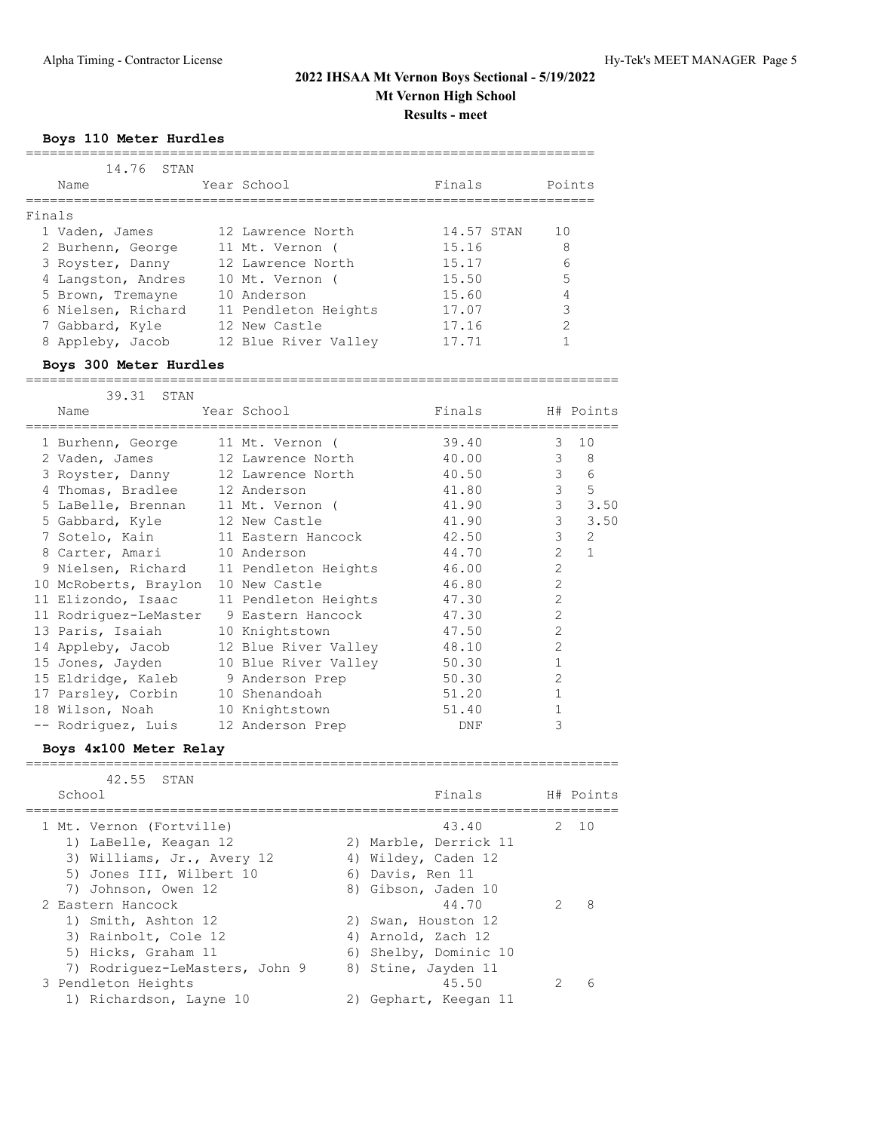#### **Boys 110 Meter Hurdles**

| Name               | 14,76 STAN |  | Year School          | Finals |            | Points |
|--------------------|------------|--|----------------------|--------|------------|--------|
|                    |            |  |                      |        |            |        |
| Finals             |            |  |                      |        |            |        |
| 1 Vaden, James     |            |  | 12 Lawrence North    |        | 14.57 STAN | 10     |
| 2 Burhenn, George  |            |  | 11 Mt. Vernon        | 15.16  |            | 8      |
| 3 Royster, Danny   |            |  | 12 Lawrence North    | 15.17  |            | 6      |
| 4 Langston, Andres |            |  | 10 Mt. Vernon        | 15.50  |            | 5      |
| 5 Brown, Tremayne  |            |  | 10 Anderson          | 15.60  |            | 4      |
| 6 Nielsen, Richard |            |  | 11 Pendleton Heights | 17.07  |            | 3      |
| 7 Gabbard, Kyle    |            |  | 12 New Castle        | 17.16  |            | 2      |
| 8 Appleby, Jacob   |            |  | 12 Blue River Valley | 17.71  |            |        |

#### **Boys 300 Meter Hurdles**

========================================================================== 39.31 STAN Name  $Year School$  Finals H# Points ==========================================================================

| 1 Burhenn, George                  | 11 Mt. Vernon (      | 39.40 | 3              | 10             |
|------------------------------------|----------------------|-------|----------------|----------------|
| 2 Vaden, James                     | 12 Lawrence North    | 40.00 | 3              | 8              |
| 3 Royster, Danny                   | 12 Lawrence North    | 40.50 | $\mathcal{S}$  | 6              |
| 4 Thomas, Bradlee                  | 12 Anderson          | 41.80 | 3              | 5              |
| 5 LaBelle, Brennan                 | 11 Mt. Vernon (      | 41.90 | $\mathcal{S}$  | 3.50           |
| 5 Gabbard, Kyle                    | 12 New Castle        | 41.90 | $\mathcal{E}$  | 3.50           |
| 7 Sotelo, Kain                     | 11 Eastern Hancock   | 42.50 | 3              | $\overline{2}$ |
| 8 Carter, Amari                    | 10 Anderson          | 44.70 | $\overline{2}$ | $\mathbf{1}$   |
| 9 Nielsen, Richard                 | 11 Pendleton Heights | 46.00 | $\overline{2}$ |                |
| 10 McRoberts, Braylon              | 10 New Castle        | 46.80 | $\overline{2}$ |                |
| 11 Elizondo, Isaac                 | 11 Pendleton Heights | 47.30 | $\overline{2}$ |                |
| 11 Rodriquez-LeMaster              | 9 Eastern Hancock    | 47.30 | $\overline{2}$ |                |
| 13 Paris, Isaiah                   | 10 Knightstown       | 47.50 | $\mathcal{L}$  |                |
| 14 Appleby, Jacob                  | 12 Blue River Valley | 48.10 | $\overline{2}$ |                |
| 15 Jones, Jayden                   | 10 Blue River Valley | 50.30 |                |                |
| 15 Eldridge, Kaleb 9 Anderson Prep |                      | 50.30 | $\overline{2}$ |                |
| 17 Parsley, Corbin                 | 10 Shenandoah        | 51.20 |                |                |
| 18 Wilson, Noah                    | 10 Knightstown       | 51.40 |                |                |
| -- Rodriquez, Luis                 | 12 Anderson Prep     | DNF   | 3              |                |
|                                    |                      |       |                |                |

#### **Boys 4x100 Meter Relay**

| 42.55 STAN                                                                                                                         |                                                                                                    |                    |
|------------------------------------------------------------------------------------------------------------------------------------|----------------------------------------------------------------------------------------------------|--------------------|
| School                                                                                                                             | Finals                                                                                             | H# Points          |
| 1 Mt. Vernon (Fortville)<br>1) LaBelle, Keagan 12<br>3) Williams, Jr., Avery 12<br>5) Jones III, Wilbert 10<br>7) Johnson, Owen 12 | 43.40<br>2) Marble, Derrick 11<br>4) Wildey, Caden 12<br>6) Davis, Ren 11<br>8) Gibson, Jaden 10   | 2, 10              |
| 2 Eastern Hancock<br>1) Smith, Ashton 12<br>3) Rainbolt, Cole 12<br>5) Hicks, Graham 11<br>7) Rodriguez-LeMasters, John 9          | 44.70<br>2) Swan, Houston 12<br>4) Arnold, Zach 12<br>6) Shelby, Dominic 10<br>8) Stine, Jayden 11 | 8<br>$\mathcal{P}$ |
| 3 Pendleton Heights<br>1) Richardson, Layne 10                                                                                     | 45.50<br>Gephart, Keegan 11<br>2)                                                                  | 6                  |

==========================================================================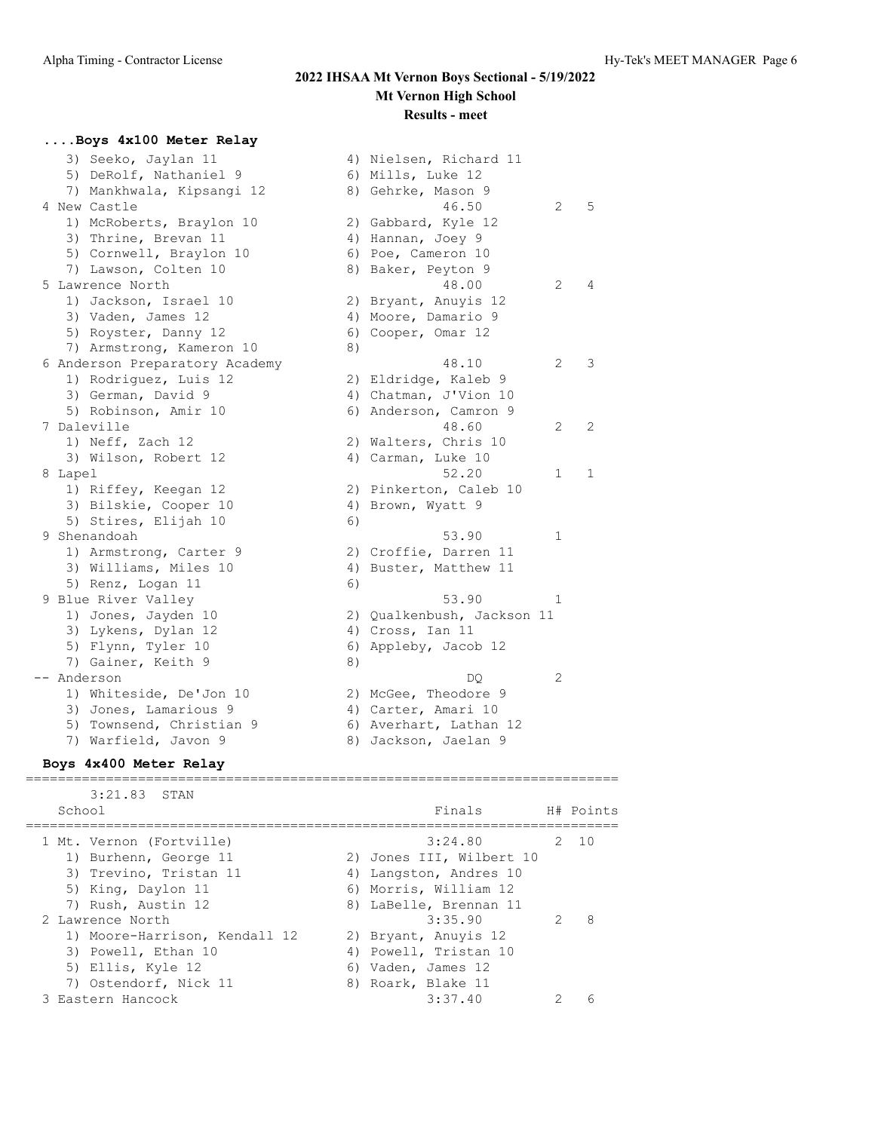#### **....Boys 4x100 Meter Relay**

| 3) Seeko, Jaylan 11<br>5) DeRolf, Nathaniel 9 |    | 4) Nielsen, Richard 11<br>6) Mills, Luke 12 |   |   |
|-----------------------------------------------|----|---------------------------------------------|---|---|
| 7) Mankhwala, Kipsangi 12                     |    | 8) Gehrke, Mason 9                          |   | 5 |
| 4 New Castle                                  |    | 46.50                                       | 2 |   |
| 1) McRoberts, Braylon 10                      |    | 2) Gabbard, Kyle 12                         |   |   |
| 3) Thrine, Brevan 11                          |    | 4) Hannan, Joey 9                           |   |   |
| 5) Cornwell, Braylon 10                       |    | 6) Poe, Cameron 10                          |   |   |
| 7) Lawson, Colten 10<br>5 Lawrence North      |    | 8) Baker, Peyton 9<br>48.00                 |   | 4 |
|                                               |    |                                             | 2 |   |
| 1) Jackson, Israel 10                         |    | 2) Bryant, Anuyis 12                        |   |   |
| 3) Vaden, James 12                            |    | 4) Moore, Damario 9                         |   |   |
| 5) Royster, Danny 12                          |    | 6) Cooper, Omar 12                          |   |   |
| 7) Armstrong, Kameron 10                      | 8) |                                             |   |   |
| 6 Anderson Preparatory Academy                |    | 48.10                                       | 2 | 3 |
| 1) Rodriguez, Luis 12                         |    | 2) Eldridge, Kaleb 9                        |   |   |
| 3) German, David 9                            |    | 4) Chatman, J'Vion 10                       |   |   |
| 5) Robinson, Amir 10                          |    | 6) Anderson, Camron 9                       |   |   |
| 7 Daleville                                   |    | 48.60                                       | 2 | 2 |
| 1) Neff, Zach 12                              |    | 2) Walters, Chris 10                        |   |   |
| 3) Wilson, Robert 12                          |    | 4) Carman, Luke 10                          |   |   |
| 8 Lapel                                       |    | 52.20                                       | 1 | 1 |
| 1) Riffey, Keegan 12                          |    | 2) Pinkerton, Caleb 10                      |   |   |
| 3) Bilskie, Cooper 10                         |    | 4) Brown, Wyatt 9                           |   |   |
| 5) Stires, Elijah 10                          | 6) |                                             |   |   |
| 9 Shenandoah                                  |    | 53.90                                       | 1 |   |
| 1) Armstrong, Carter 9                        |    | 2) Croffie, Darren 11                       |   |   |
| 3) Williams, Miles 10                         |    | 4) Buster, Matthew 11                       |   |   |
| 5) Renz, Logan 11                             | 6) |                                             |   |   |
| 9 Blue River Valley                           |    | 53.90                                       | 1 |   |
| 1) Jones, Jayden 10                           |    | 2) Qualkenbush, Jackson 11                  |   |   |
| 3) Lykens, Dylan 12                           |    | 4) Cross, Ian 11                            |   |   |
| 5) Flynn, Tyler 10                            |    | 6) Appleby, Jacob 12                        |   |   |
| 7) Gainer, Keith 9                            | 8) |                                             |   |   |
| -- Anderson                                   |    | DQ                                          | 2 |   |
| 1) Whiteside, De'Jon 10                       |    | 2) McGee, Theodore 9                        |   |   |
| 3) Jones, Lamarious 9                         |    | 4) Carter, Amari 10                         |   |   |
| 5) Townsend, Christian 9                      |    | 6) Averhart, Lathan 12                      |   |   |
| 7) Warfield, Javon 9                          |    | 8) Jackson, Jaelan 9                        |   |   |

#### **Boys 4x400 Meter Relay**

 3:21.83 STAN School Finals H# Points ========================================================================== 1 Mt. Vernon (Fortville) 3:24.80 2 10 1) Burhenn, George 11 2) Jones III, Wilbert 10 3) Trevino, Tristan 11 (4) Langston, Andres 10 5) King, Daylon 11 6) Morris, William 12 7) Rush, Austin 12 8) LaBelle, Brennan 11 2 Lawrence North 3:35.90 2 8 1) Moore-Harrison, Kendall 12 2) Bryant, Anuyis 12 3) Powell, Ethan 10 4) Powell, Tristan 10 5) Ellis, Kyle 12 6) Vaden, James 12 7) Ostendorf, Nick 11 and 8) Roark, Blake 11 3 Eastern Hancock 3:37.40 2 6

==========================================================================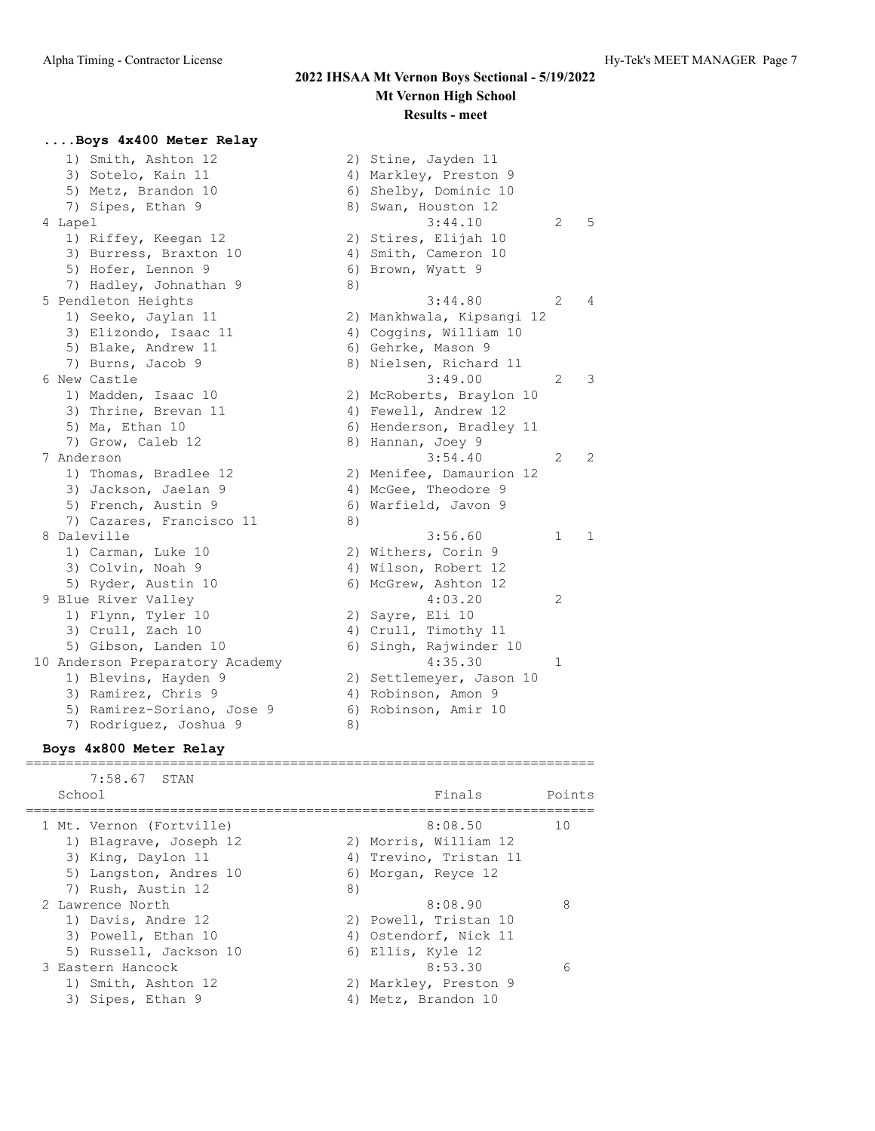$3:44.10$  2 5

 $3:44.80$  2 4

 $3:49.00$  2 3

 $3:54.40$  2 2

8 Daleville 3:56.60 1 1

#### **....Boys 4x400 Meter Relay**

| 1) Smith, Ashton 12             |    | 2) Stine, Jayden 11       |                |
|---------------------------------|----|---------------------------|----------------|
| 3) Sotelo, Kain 11              |    | 4) Markley, Preston 9     |                |
| 5) Metz, Brandon 10             |    | 6) Shelby, Dominic 10     |                |
| 7) Sipes, Ethan 9               |    | 8) Swan, Houston 12       |                |
| 4 Lapel                         |    | 3:44.10                   | $\overline{c}$ |
| 1) Riffey, Keegan 12            |    | 2) Stires, Elijah 10      |                |
| 3) Burress, Braxton 10          |    | 4) Smith, Cameron 10      |                |
| 5) Hofer, Lennon 9              |    | 6) Brown, Wyatt 9         |                |
| 7) Hadley, Johnathan 9          | 8) |                           |                |
| 5 Pendleton Heights             |    | 3:44.80                   | 2              |
| 1) Seeko, Jaylan 11             |    | 2) Mankhwala, Kipsangi 12 |                |
| 3) Elizondo, Isaac 11           |    | 4) Coggins, William 10    |                |
| 5) Blake, Andrew 11             |    | 6) Gehrke, Mason 9        |                |
| 7) Burns, Jacob 9               |    | 8) Nielsen, Richard 11    |                |
| 6 New Castle                    |    | 3:49.00                   | 2              |
| 1) Madden, Isaac 10             |    | 2) McRoberts, Braylon 10  |                |
| 3) Thrine, Brevan 11            |    | 4) Fewell, Andrew 12      |                |
| 5) Ma, Ethan 10                 |    | 6) Henderson, Bradley 11  |                |
| 7) Grow, Caleb 12               |    | 8) Hannan, Joey 9         |                |
| 7 Anderson                      |    | 3:54.40                   | $\overline{c}$ |
| 1) Thomas, Bradlee 12           |    | 2) Menifee, Damaurion 12  |                |
| 3) Jackson, Jaelan 9            |    | 4) McGee, Theodore 9      |                |
| 5) French, Austin 9             | 6) | Warfield, Javon 9         |                |
| 7) Cazares, Francisco 11        | 8) |                           |                |
| 8 Daleville                     |    | 3:56.60                   | $\mathbf{1}$   |
| 1) Carman, Luke 10              |    | 2) Withers, Corin 9       |                |
| 3) Colvin, Noah 9               |    | 4) Wilson, Robert 12      |                |
| 5) Ryder, Austin 10             |    | 6) McGrew, Ashton 12      |                |
| 9 Blue River Valley             |    | 4:03.20                   | 2              |
| 1) Flynn, Tyler 10              |    | 2) Sayre, Eli 10          |                |
| 3) Crull, Zach 10               |    | 4) Crull, Timothy 11      |                |
| 5) Gibson, Landen 10            |    | 6) Singh, Rajwinder 10    |                |
| 10 Anderson Preparatory Academy |    | 4:35.30                   | $\mathbf{1}$   |
| 1) Blevins, Hayden 9            |    | 2) Settlemeyer, Jason 10  |                |
| 3) Ramirez, Chris 9             |    | 4) Robinson, Amon 9       |                |
| 5) Ramirez-Soriano, Jose 9      | 6) | Robinson, Amir 10         |                |
| 7) Rodriguez, Joshua 9          | 8) |                           |                |

#### **Boys 4x800 Meter Relay**

| 7:58.67 STAN<br>School                                                                                                   |    | Finals                                                                            | Points |
|--------------------------------------------------------------------------------------------------------------------------|----|-----------------------------------------------------------------------------------|--------|
| 1 Mt. Vernon (Fortville)<br>1) Blagrave, Joseph 12<br>3) King, Daylon 11<br>5) Langston, Andres 10<br>7) Rush, Austin 12 | 8) | 8:08.50<br>2) Morris, William 12<br>4) Trevino, Tristan 11<br>6) Morgan, Reyce 12 | 10     |
| 2 Lawrence North<br>1) Davis, Andre 12<br>3) Powell, Ethan 10<br>5) Russell, Jackson 10                                  |    | 8:08.90<br>2) Powell, Tristan 10<br>4) Ostendorf, Nick 11<br>6) Ellis, Kyle 12    | 8      |
| 3 Eastern Hancock<br>1) Smith, Ashton 12<br>3) Sipes, Ethan 9                                                            |    | 8:53.30<br>2) Markley, Preston 9<br>Metz, Brandon 10                              | 6      |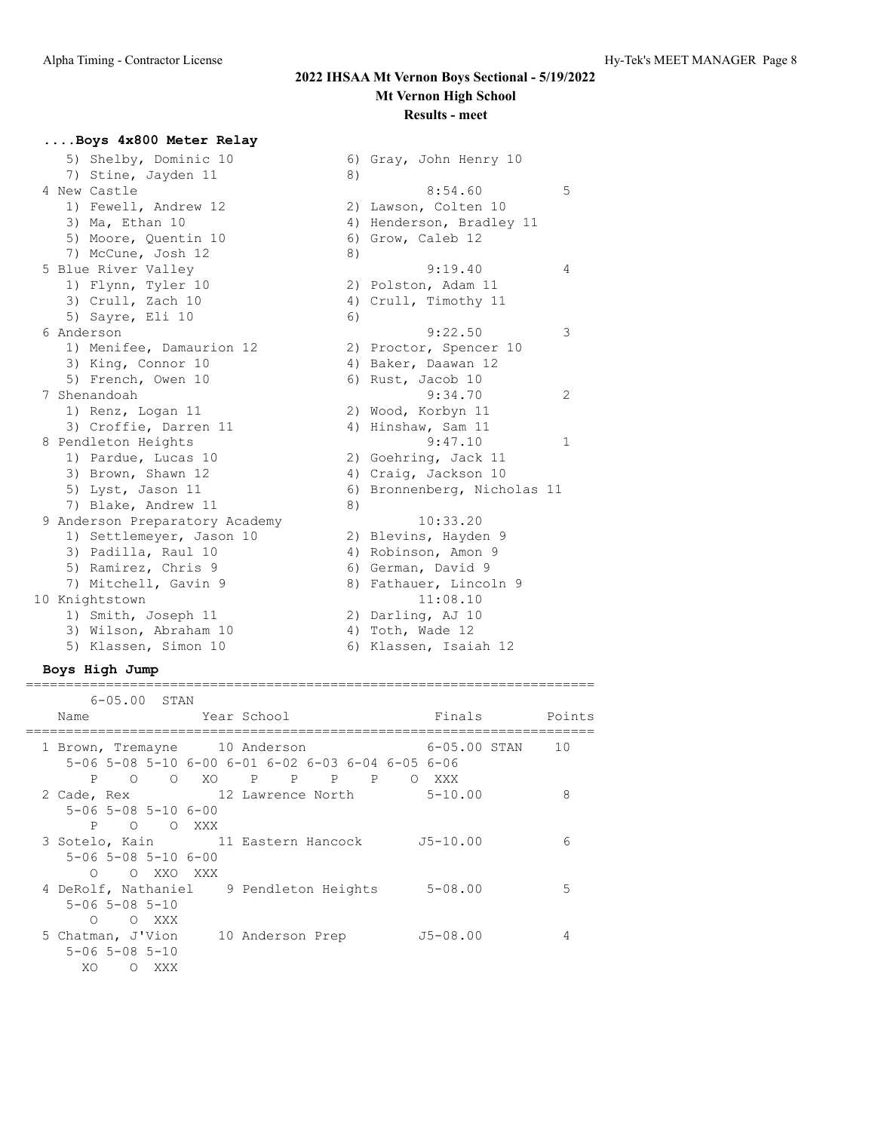## **....Boys 4x800 Meter Relay**

| 5) Shelby, Dominic 10          |    | 6) Gray, John Henry 10      |   |
|--------------------------------|----|-----------------------------|---|
| 7) Stine, Jayden 11            | 8) |                             |   |
| 4 New Castle                   |    | 8:54.60                     | 5 |
| 1) Fewell, Andrew 12           |    | 2) Lawson, Colten 10        |   |
| 3) Ma, Ethan 10                |    | 4) Henderson, Bradley 11    |   |
| 5) Moore, Quentin 10           |    | 6) Grow, Caleb 12           |   |
| 7) McCune, Josh 12             | 8) |                             |   |
| 5 Blue River Valley            |    | 9:19.40                     | 4 |
| 1) Flynn, Tyler 10             |    | 2) Polston, Adam 11         |   |
| 3) Crull, Zach 10              |    | 4) Crull, Timothy 11        |   |
| 5) Sayre, Eli 10               | 6) |                             |   |
| 6 Anderson                     |    | 9:22.50                     | 3 |
| 1) Menifee, Damaurion 12       |    | 2) Proctor, Spencer 10      |   |
| 3) King, Connor 10             |    | 4) Baker, Daawan 12         |   |
| 5) French, Owen 10             |    | 6) Rust, Jacob 10           |   |
| 7 Shenandoah                   |    | 9:34.70                     | 2 |
| 1) Renz, Logan 11              |    | 2) Wood, Korbyn 11          |   |
| 3) Croffie, Darren 11          |    | 4) Hinshaw, Sam 11          |   |
| 8 Pendleton Heights            |    | 9:47.10                     | 1 |
| 1) Pardue, Lucas 10            |    | 2) Goehring, Jack 11        |   |
| 3) Brown, Shawn 12             |    | 4) Craig, Jackson 10        |   |
| 5) Lyst, Jason 11              |    | 6) Bronnenberg, Nicholas 11 |   |
| 7) Blake, Andrew 11            | 8) |                             |   |
| 9 Anderson Preparatory Academy |    | 10:33.20                    |   |
| 1) Settlemeyer, Jason 10       |    | 2) Blevins, Hayden 9        |   |
| 3) Padilla, Raul 10            |    | 4) Robinson, Amon 9         |   |
| 5) Ramirez, Chris 9            |    | 6) German, David 9          |   |
| 7) Mitchell, Gavin 9           |    | 8) Fathauer, Lincoln 9      |   |
| 10 Knightstown                 |    | 11:08.10                    |   |
| 1) Smith, Joseph 11            |    | 2) Darling, AJ 10           |   |
| 3) Wilson, Abraham 10          |    | 4) Toth, Wade 12            |   |
| 5) Klassen, Simon 10           |    | 6) Klassen, Isaiah 12       |   |

### **Boys High Jump**

| $6 - 05.00$ STAN                                               |                                                                       |                     |               |
|----------------------------------------------------------------|-----------------------------------------------------------------------|---------------------|---------------|
| Year School<br>Name                                            |                                                                       |                     | Finals Points |
| 1 Brown, Tremayne 10 Anderson                                  | $5-06$ $5-08$ $5-10$ $6-00$ $6-01$ $6-02$ $6-03$ $6-04$ $6-05$ $6-06$ | $6-05.00$ STAN $10$ |               |
| $5 - 06$ $5 - 08$ $5 - 10$ $6 - 00$<br>P<br>O OXXX             | P O O XO P P P P<br>2 Cade, Rex 12 Lawrence North 5-10.00             | O XXX               | 8             |
| $5 - 06$ $5 - 08$ $5 - 10$ $6 - 00$<br>O XXO XXX<br>$\bigcirc$ | 3 Sotelo, Kain 11 Eastern Hancock J5-10.00                            |                     | 6             |
| $5 - 06$ $5 - 08$ $5 - 10$<br>O XXX<br>$\bigcirc$              | 4 DeRolf, Nathaniel 9 Pendleton Heights 5-08.00                       |                     | 5             |
| 5 Chatman, J'Vion<br>$5 - 06$ $5 - 08$ $5 - 10$<br>XO<br>O XXX | 10 Anderson Prep                                                      | $J5-08.00$          |               |

=======================================================================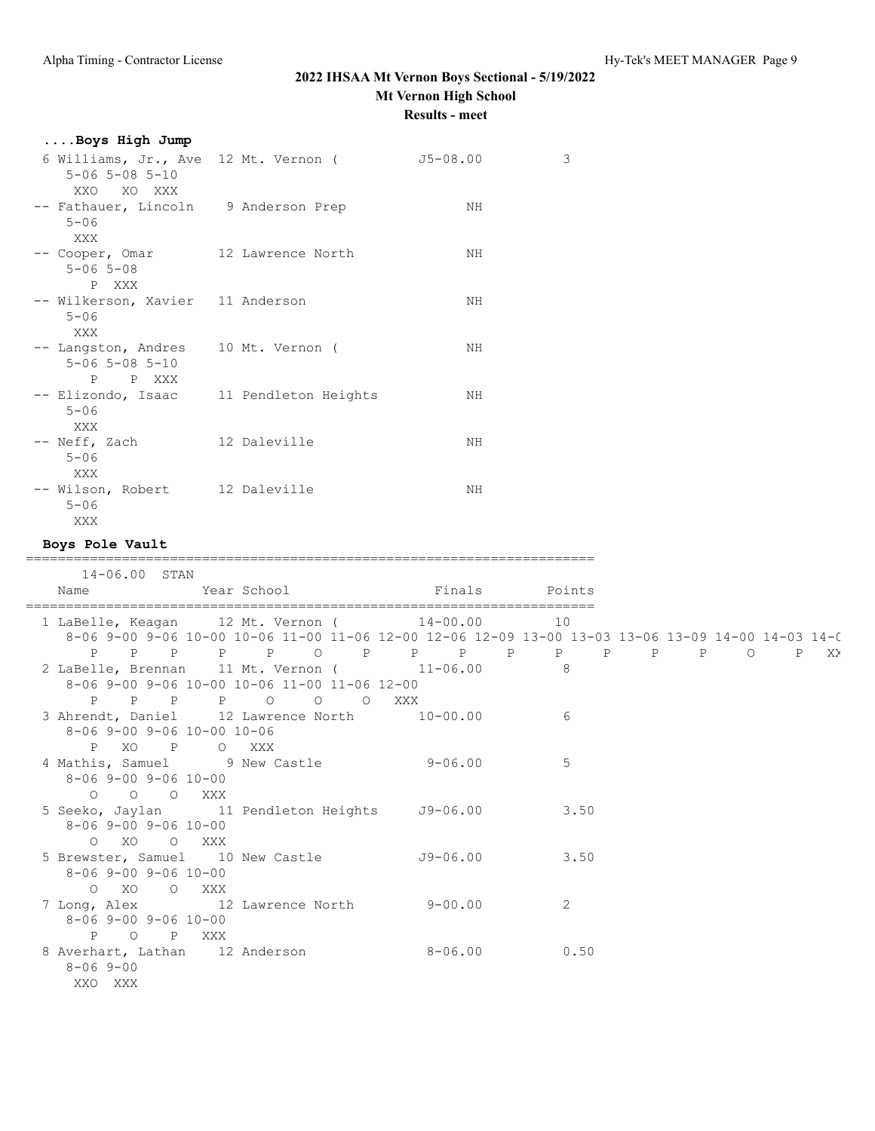# **....Boys High Jump**

| $5 - 06$ $5 - 08$ $5 - 10$<br>XXO<br>XO XXX                                     | 6 Williams, Jr., Ave 12 Mt. Vernon ( | J5-08.00 | 3 |
|---------------------------------------------------------------------------------|--------------------------------------|----------|---|
| -- Fathauer, Lincoln 9 Anderson Prep<br>$5 - 06$<br>XXX                         |                                      | NH       |   |
| -- Cooper, Omar 12 Lawrence North<br>$5 - 06$ $5 - 08$<br>P XXX                 |                                      | NH       |   |
| -- Wilkerson, Xavier 11 Anderson<br>$5 - 06$<br>XXX                             |                                      | ΝH       |   |
| -- Langston, Andres 10 Mt. Vernon (<br>$5 - 06$ $5 - 08$ $5 - 10$<br>P<br>P XXX |                                      | ΝH       |   |
| -- Elizondo, Isaac<br>$5 - 06$<br>XXX                                           | 11 Pendleton Heights                 | NH       |   |
| -- Neff, Zach<br>$5 - 06$<br>XXX                                                | 12 Daleville                         | ΝH       |   |
| -- Wilson, Robert<br>$5 - 06$<br>XXX                                            | 12 Daleville                         | NH       |   |

### **Boys Pole Vault**

=======================================================================  $14.06.00$ 

| 14-06.00 STAN                                        |                                                                                                                                                    |   |  |
|------------------------------------------------------|----------------------------------------------------------------------------------------------------------------------------------------------------|---|--|
| Name                                                 | <b>Example 2</b> Year School <b>Example 2</b> School <b>Primals</b> Points                                                                         |   |  |
|                                                      | 1 LaBelle, Keagan 12 Mt. Vernon ( 14-00.00 10<br>8-06 9-00 9-06 10-00 10-06 11-00 11-06 12-00 12-06 12-09 13-00 13-03 13-06 13-09 14-00 14-03 14-0 |   |  |
|                                                      |                                                                                                                                                    |   |  |
|                                                      | 2 LaBelle, Brennan 11 Mt. Vernon ( 11-06.00 8<br>8-06 9-00 9-06 10-00 10-06 11-00 11-06 12-00<br>P P P P P O O O XXX                               |   |  |
| 8-06 9-00 9-06 10-00 10-06                           | 3 Ahrendt, Daniel 12 Lawrence North 10-00.00                                                                                                       | 6 |  |
| $8 - 06$ 9-00 9-06 10-00                             | P XO P O XXX<br>4 Mathis, Samuel 9 New Castle 9-06.00                                                                                              | 5 |  |
| 0 0 0 XXX<br>$8 - 06$ 9-00 9-06 10-00                | 5 Seeko, Jaylan 11 Pendleton Heights 59-06.00 3.50                                                                                                 |   |  |
| O XO O XXX<br>$8 - 06$ 9-00 9-06 10-00<br>O XO O XXX | 5 Brewster, Samuel 10 New Castle 59-06.00 3.50                                                                                                     |   |  |
| $8 - 06$ 9-00 9-06 10-00<br>P O P XXX                | 7 Long, Alex 12 Lawrence North 9-00.00                                                                                                             | 2 |  |
| $8 - 069 - 00$<br>XXO XXX                            | 8 Averhart, Lathan 12 Anderson 8-06.00 0.50                                                                                                        |   |  |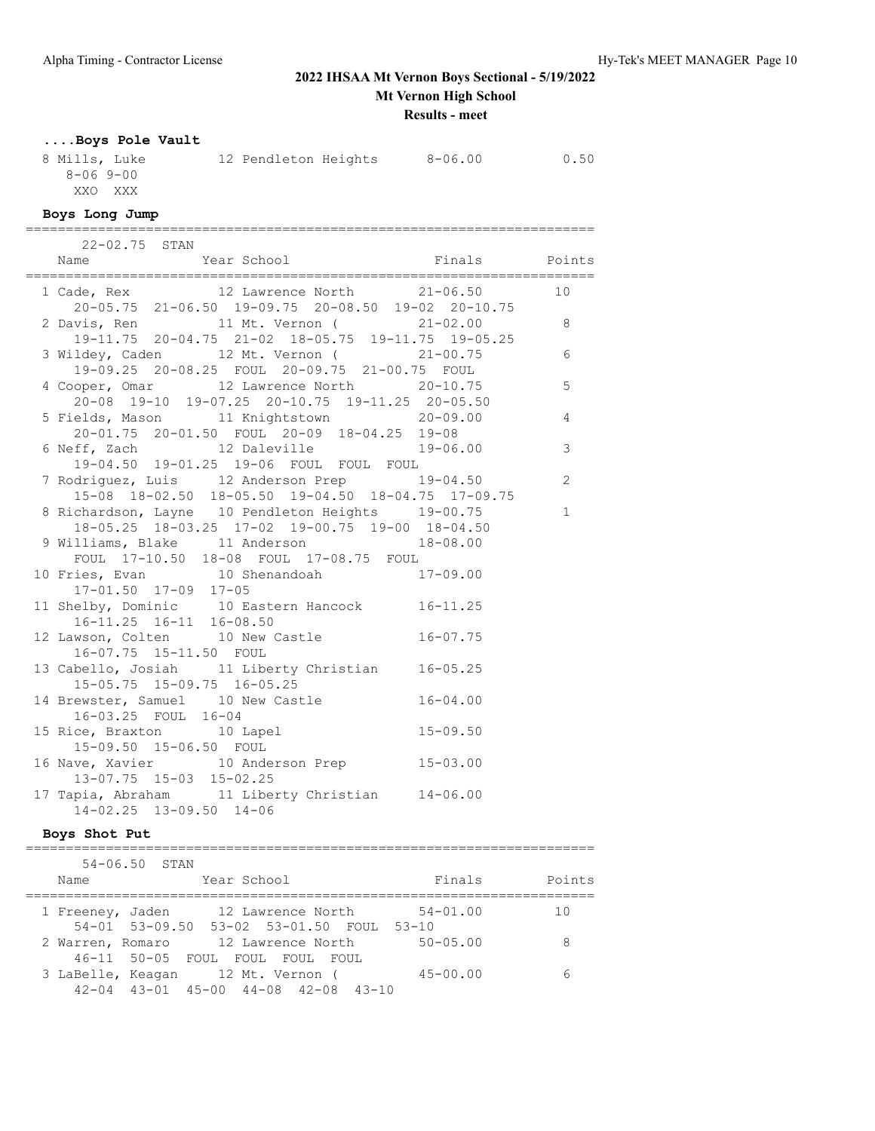# **2022 IHSAA Mt Vernon Boys Sectional - 5/19/2022 Mt Vernon High School**

**Results - meet**

# **....Boys Pole Vault**

| 8 Mills, Luke | 12 Pendleton Heights | $8 - 06.00$ | 0.50 |
|---------------|----------------------|-------------|------|
| 8-069-00      |                      |             |      |
| XXO XXX       |                      |             |      |

#### **Boys Long Jump**

| $22 - 02.75$ STAN                                                                               |                |
|-------------------------------------------------------------------------------------------------|----------------|
| Name Year School Finals Points<br>Finals Points Points                                          |                |
|                                                                                                 |                |
| 20-05.75 21-06.50 19-09.75 20-08.50 19-02 20-10.75                                              |                |
| 2 Davis, Ren 11 Mt. Vernon (21-02.00 8                                                          |                |
| 19-11.75 20-04.75 21-02 18-05.75 19-11.75 19-05.25<br>3 Wildey, Caden 12 Mt. Vernon (21-00.75 6 |                |
| 19-09.25 20-08.25 FOUL 20-09.75 21-00.75 FOUL                                                   |                |
| 4 Cooper, Omar 12 Lawrence North 20-10.75                                                       | 5              |
| 20-08 19-10 19-07.25 20-10.75 19-11.25 20-05.50                                                 |                |
| 5 Fields, Mason 11 Knightstown 20-09.00                                                         | $\overline{4}$ |
| 20-01.75 20-01.50 FOUL 20-09 18-04.25 19-08                                                     |                |
| 6 Neff, Zach 12 Daleville 19-06.00<br>19-04.50 19-01.25 19-06 FOUL FOUL FOUL                    | $\mathcal{S}$  |
| 7 Rodriguez, Luis 12 Anderson Prep 19-04.50                                                     | 2              |
| 15-08 18-02.50 18-05.50 19-04.50 18-04.75 17-09.75                                              |                |
| 8 Richardson, Layne 10 Pendleton Heights 19-00.75                                               | $\mathbf{1}$   |
| 18-05.25 18-03.25 17-02 19-00.75 19-00 18-04.50                                                 |                |
| 9 Williams, Blake 11 Anderson 18-08.00                                                          |                |
| FOUL 17-10.50 18-08 FOUL 17-08.75 FOUL                                                          |                |
| 10 Fries, Evan 10 Shenandoah 17-09.00                                                           |                |
| 17-01.50 17-09 17-05                                                                            |                |
| 11 Shelby, Dominic 10 Eastern Hancock 16-11.25                                                  |                |
| 16-11.25 16-11 16-08.50                                                                         |                |
| 12 Lawson, Colten 10 New Castle 16-07.75                                                        |                |
| 16-07.75 15-11.50 FOUL                                                                          |                |
| 13 Cabello, Josiah 11 Liberty Christian 16-05.25<br>15-05.75 15-09.75 16-05.25                  |                |
| 15-05.75 15-09.75 16-05.25<br>14 Brewster, Samuel 10 New Castle 16-04.00                        |                |
| 16-03.25 FOUL 16-04                                                                             |                |
| 15 Rice, Braxton 10 Lapel 15-09.50                                                              |                |
| 15-09.50 15-06.50 FOUL                                                                          |                |
| 16 Nave, Xavier 10 Anderson Prep 15-03.00<br>13-07.75 15-03 15-02.25                            |                |
|                                                                                                 |                |
| 17 Tapia, Abraham 11 Liberty Christian 14-06.00<br>14-02.25 13-09.50 14-06                      |                |
|                                                                                                 |                |

### **Boys Shot Put**

|                  | $54 - 06.50$ STAN |                                                                                      |  |              |        |
|------------------|-------------------|--------------------------------------------------------------------------------------|--|--------------|--------|
| Name             |                   | Year School                                                                          |  | Finals       | Points |
| 1 Freeney, Jaden |                   | 12 Lawrence North                                                                    |  | $54 - 01.00$ | 10     |
|                  |                   | 54-01 53-09.50 53-02 53-01.50 FOUL 53-10                                             |  |              |        |
| 2 Warren, Romaro |                   | 12 Lawrence North                                                                    |  | $50 - 05.00$ | 8      |
|                  |                   | 46-11 50-05 FOUL FOUL FOUL FOUL                                                      |  |              |        |
|                  |                   | 3 LaBelle, Keagan 12 Mt. Vernon (<br>$42-04$ $43-01$ $45-00$ $44-08$ $42-08$ $43-10$ |  | $45 - 00.00$ |        |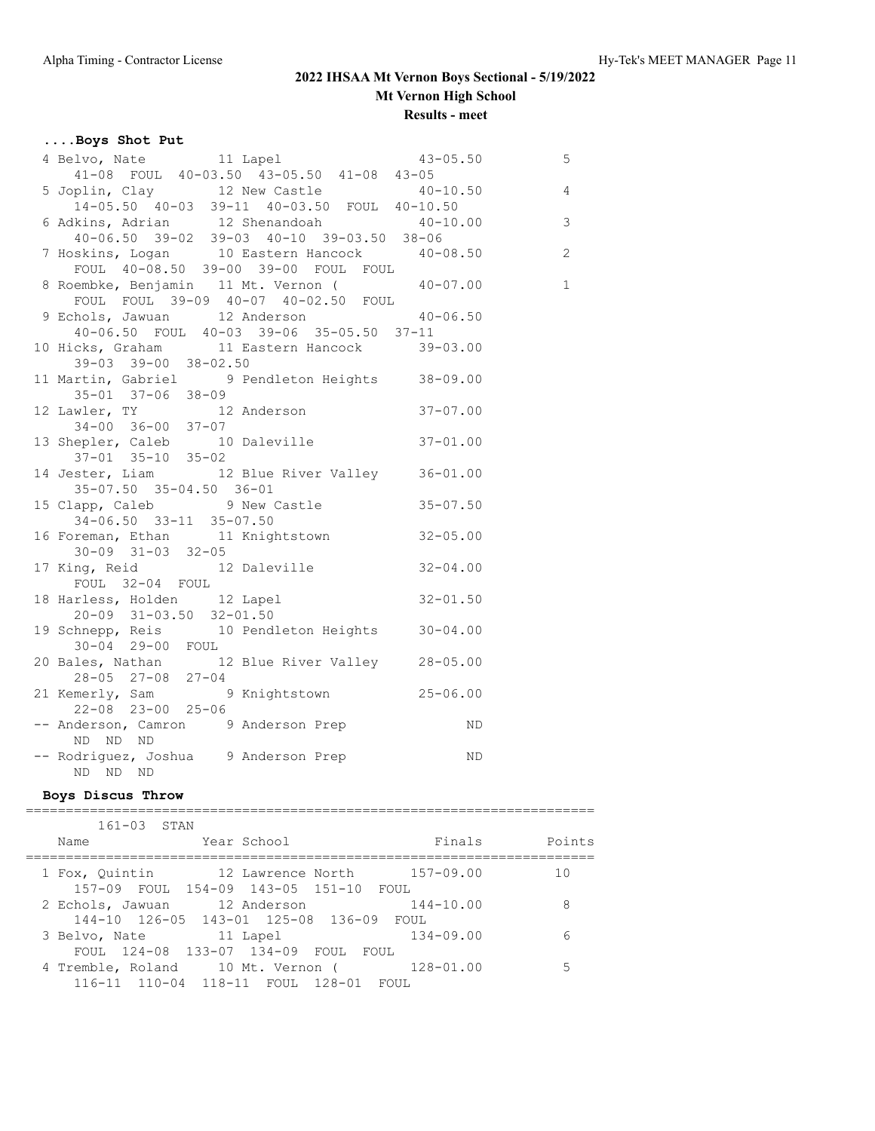# **....Boys Shot Put**

| 43-05.50<br>5 Joplin, Clay<br>12 New Castle<br>14-05.50 40-03 39-11 40-03.50 FOUL<br>40-10.50<br>6 Adkins, Adrian<br>12 Shenandoah<br>40-06.50 39-02 2010 |    |                |
|-----------------------------------------------------------------------------------------------------------------------------------------------------------|----|----------------|
|                                                                                                                                                           |    |                |
|                                                                                                                                                           |    |                |
|                                                                                                                                                           |    |                |
| $40-06.50$ 39-02 39-03 40-10 39-03.50 38-06                                                                                                               |    |                |
| $\frac{1}{2}$ Hoskins, Logan and Eastern Hancock $\frac{38-00}{10}$ -08.50 and 10 Eastern Hancock $\frac{40-08.50}{10}$ 2                                 |    |                |
| FOUL 40-08.50 39-00 39-00 FOUL FOUL                                                                                                                       |    |                |
|                                                                                                                                                           |    | $\overline{1}$ |
| 8 Roembke, Benjamin 11 Mt. Vernon (2007)<br>10-07.00 FOUL FOUL 39-09 40-07 40-02.50 FOUL                                                                  |    |                |
| 9 Echols, Jawuan 12 Anderson 11 40-06.50                                                                                                                  |    |                |
| 40-06.50 FOUL 40-03 39-06 35-05.50 37-11                                                                                                                  |    |                |
| 10 Hicks, Graham 11 Eastern Hancock 39-03.00                                                                                                              |    |                |
| $39-03$ $39-00$ $38-02.50$                                                                                                                                |    |                |
|                                                                                                                                                           |    |                |
| 11 Martin, Gabriel 9 Pendleton Heights 38-09.00<br>35-01 37-06 38-09<br>12 Lawler, TY 12 Anderson 37-07.00<br>34-00 36-00 37-07                           |    |                |
|                                                                                                                                                           |    |                |
|                                                                                                                                                           |    |                |
| 13 Shepler, Caleb 10 Daleville 37-01.00<br>$37 - 01$ $35 - 10$ $35 - 02$                                                                                  |    |                |
| 14 Jester, Liam 12 Blue River Valley 36-01.00                                                                                                             |    |                |
| 35-07.50 35-04.50 36-01                                                                                                                                   |    |                |
| 15 Clapp, Caleb 9 New Castle 35-07.50                                                                                                                     |    |                |
| $34-06.50$ $33-11$ $35-07.50$                                                                                                                             |    |                |
| 16 Foreman, Ethan 11 Knightstown 32-05.00                                                                                                                 |    |                |
| $30-09$ $31-03$ $32-05$                                                                                                                                   |    |                |
| 17 King, Reid 12 Daleville 32-04.00                                                                                                                       |    |                |
| FOUL 32-04 FOUL                                                                                                                                           |    |                |
| 18 Harless, Holden 12 Lapel 32-01.50                                                                                                                      |    |                |
| 20-09 31-03.50 32-01.50                                                                                                                                   |    |                |
| 19 Schnepp, Reis 10 Pendleton Heights 30-04.00                                                                                                            |    |                |
| 30-04 29-00 FOUL<br>20 Bales, Nathan 12 Blue River Valley 28-05.00                                                                                        |    |                |
| $28 - 05$ $27 - 08$ $27 - 04$                                                                                                                             |    |                |
| 21 Kemerly, Sam 9 Knightstown 25-06.00                                                                                                                    |    |                |
| 22-08 23-00 25-06                                                                                                                                         |    |                |
| -- Anderson, Camron 9 Anderson Prep                                                                                                                       | ND |                |
| ND ND ND                                                                                                                                                  |    |                |
| -- Rodriguez, Joshua 9 Anderson Prep                                                                                                                      | ND |                |
| ND ND ND                                                                                                                                                  |    |                |

### **Boys Discus Throw**

| $161 - 03$ STAN                                    |        |
|----------------------------------------------------|--------|
| Finals<br>Year School<br>Name                      | Points |
| 12 Lawrence North 157-09.00<br>1 Fox, Ouintin      | 1 O    |
| 157-09 FOUL 154-09 143-05 151-10 FOUL              |        |
| $144 - 10.00$<br>12 Anderson<br>2 Echols, Jawuan   | 8      |
| 144-10 126-05 143-01 125-08 136-09 FOUL            |        |
| $134 - 09.00$<br>11 Lapel<br>3 Belvo, Nate         | ี      |
| FOUL 124-08 133-07 134-09 FOUL<br>FOUL             |        |
| $128 - 01.00$<br>4 Tremble, Roland 10 Mt. Vernon ( | 5      |
| 116-11 110-04 118-11 FOUL 128-01 FOUL              |        |